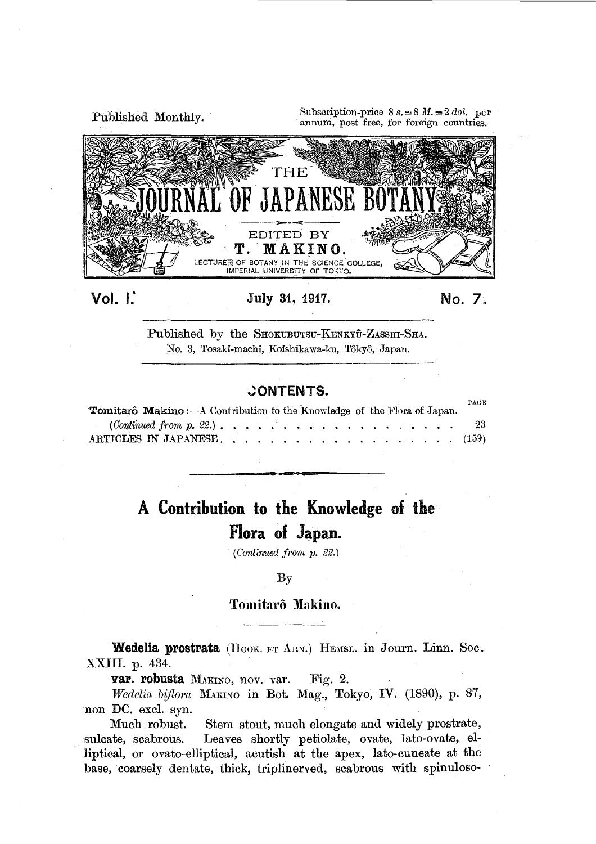

Vol. 1:

## July 31, 1917.

No. 7.

Published by the SHOKUBUTSU-KENKYŪ-ZASSHI-SHA. No. 3, Tosaki-machi, Koishikawa-ku, Tôkyô, Japan.

## **CONTENTS.**

| <b>Tomitarô Makino:</b> - A Contribution to the Knowledge of the Flora of Japan. |  |  |  |  |  |  |  |  |  | PAGE |
|----------------------------------------------------------------------------------|--|--|--|--|--|--|--|--|--|------|
|                                                                                  |  |  |  |  |  |  |  |  |  | -23  |
|                                                                                  |  |  |  |  |  |  |  |  |  |      |

# A Contribution to the Knowledge of the · Flora of Japan.

*(Continued j1·om* p. *22.)* 

#### By

### Tomitarô Makino.

Wedelia prostrata (HOOK. ET ARN.) HEMSL. in Journ. Linn. Soc. XXIII. p. 434.

var. robusta MAKINO, nov. var. Fig. 2.

*Wedelia biflora* MAKINO in Bot. Mag., Tokyo, IV. (1890), p. 87, non DC. excl. syn.<br>Much robust.

Stem stout, much elongate and widely prostrate, sulcate, scabrous. Leaves shortly petiolate, ovate, lato-ovate, elliptical, or ovato-elliptical, acutish at the apex, lato-cuneate at the base, coarsely dentate, thick, triplinerved, scabrous with spinuloso-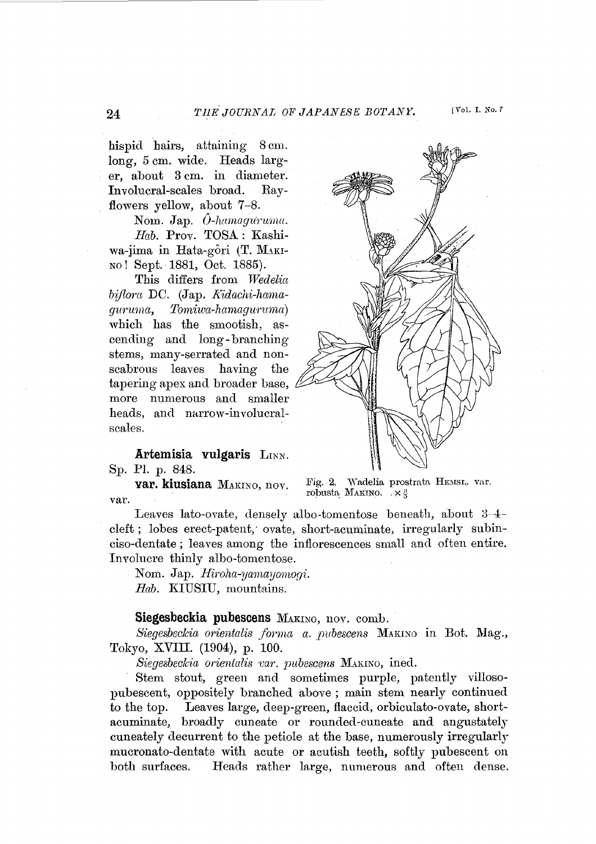[Vol. I. No. 7]

hispid hairs, attaining 8 em. long, 5 em. wide. Heads larger, about 3 em. in diameter. Involucral-scales broad. Rayflowers yellow, about 7-8.

Nom. Jap.  $\hat{O}$ -hamaguruma. *Hab.* Prov. TOSA: Kashiwa-jima in Hata-gôri (T. MAKI-NO! Sept.· 1881, Oct. 1885).

This differs from Wedelia *bijlora* DC. (Jap. *R':idachi-hanwguruma, Torniwa-hamagwnmul)*  which has the smootish, ascending and long- branching stems, many-serrated and nonscabrous leaves having the tapering apex and broader base, more numerous and smaller heads, and narrow-involucralscales.

**Artemisia vulgaris** LINN. Sp. Pl. p. 848.

**var. kiusiana** MAKINo, nov. var.

Fig. 2. Wadelia prostrata HEMSL. var. robusta MAKINO.  $\bar{X} \times \frac{3}{2}$ 

Leaves lato-ovate, densely albo-tomentose beneath, about 3-4 cleft ; lobes erect-patent; ovate, short-acuminate, irregularly subinciso-dentate; leaves among the inflorescences small and often entire. Involucre thinly alho-tomentose.

Nom. Jap. *Hiroha-yamayomogi*. *Hab.* KIUSIU, mountains.

#### **Siegesbeckia pubescens** MAKINo, nov. comb.

Siegesbeckia orientalis forma a. pubescens MAKINO in Bot. Mag., Tokyo, XVIII. (1904), p. 100.

*Siegesbeclcia orientalis var. pubescens* MAKINo, ined.

Stem stout, green and sometimes purple, patently villosopubescent, oppositely branched above ; main stem nearly continued to the top. Leaves large, deep-green, flaccid, orbiculato-ovate, shortacuminate, broadly cuneate or rounded-cuneate and angustately cuneately decurrent to the petiole at the base, numerously irregularly mucronato-dentate with acute or acutish teeth, softly pubescent on both surfaces. Heads rather large, numerous and often dense.

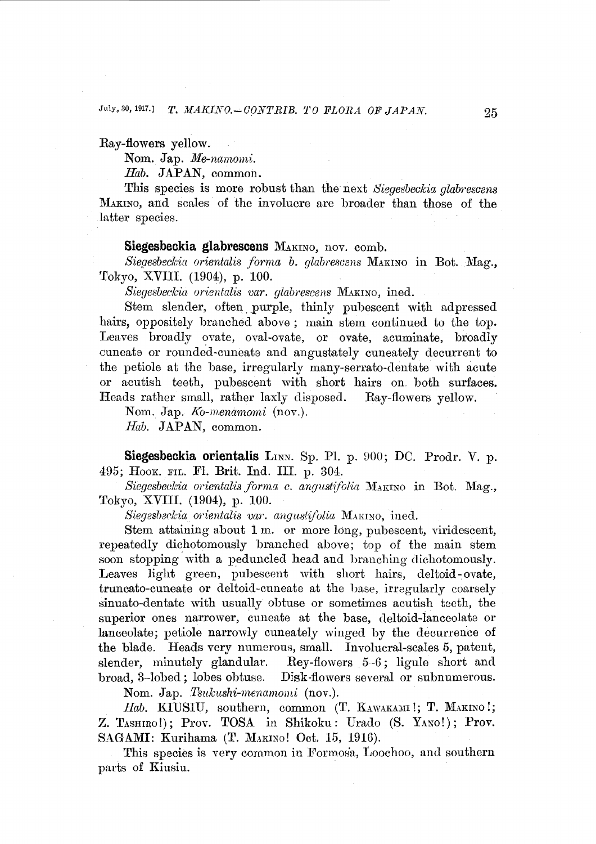Ray-flowers yellow.

Nom. Jap. Me-namomi.

*Hab.* JAPAN, common.

This species is more robust than the next *Siggesbeckia glabrescens*  MAKINO, and scales of the involucre are broader than those of the latter species.

#### **Siegesbeokia glabresoens** MAKINo, nov. comb.

Siegesbeckia orientalis forma *b. glabrescens* MAKINO in Bot. Mag., Tokyo, XVIII. (1904), p. 100.

*Siegesbeclcia orientalis 'Uar. glabrescens* MAKINO, ined.

Stem slender, often purple, thinly pubescent with adpressed hairs, oppositely branched above; main stem continued to the top. Leaves broadly ovate, oval-ovate, or ovate, acuminate, broadly cuneate or rounded-cuneate and angustately cuneately decurrent to the petiole at the base, irregularly many-serrato-dentate with acute or acutish teeth, pubescent with short hairs on. both surfaces. Heads rather small, rather laxly disposed. Ray-flowers yellow.

Nom. Jap. *Ko-menamomi* (nov.).

*Hab.* JAPAN, common.

Siegesbeckia orientalis LINN. Sp. Pl. p. 900; DC. Prodr. V. p. 495; HOOK. FIL. Fl. Brit. Ind. III. p. 304.

Siegesbeckia orientalis forma c. angustifolia MAKINO in Bot. Mag., Tokyo, XVIII. (1904), p. 100.

Siegesbeckia orientalis var. angustifolia MAKINO, ined.

Stem attaining about 1m. or more long, pubescent, viridescent, repeatedly dichotomously branched above; top of the main stem soon stopping. with a peduncled head and branching dichotomously. Leaves light green, pubescent with short hairs, deltoid-ovate, truncato-cuneate or deltoid-cuneate at the hase, irregularly coarsely sinuato-dentate with usually obtuse or sometimes acutish teeth, the superior ones narrower, cuneate at the base, deltoid-lanceolate or lanceolate; petiole narrowly cuneately winged by the decurrence of the blade. Heads very numerous, small. Involucral-scales 5, patent, slender, minutely glandular. Bey-flowers 5-G; ligule short and broad, 3-lobed; lobes obtuse. Disk-flowers several or subnumerous.

Nom. Jap. Tsukushi-menamomi (nov.).

Hab. KIUSIU, southern, common (T. KAWAKAMI!; T. MAKINO!; Z. TASHIRO!); Prov. TOSA in Shikoku: Urado (S. YANO!); Prov. SAGAMI: Kurihama (T. MAKINO! Oct. 15, 1916).

This species is very common in Formosa, Loochoo, and southern parts of Kiusiu.